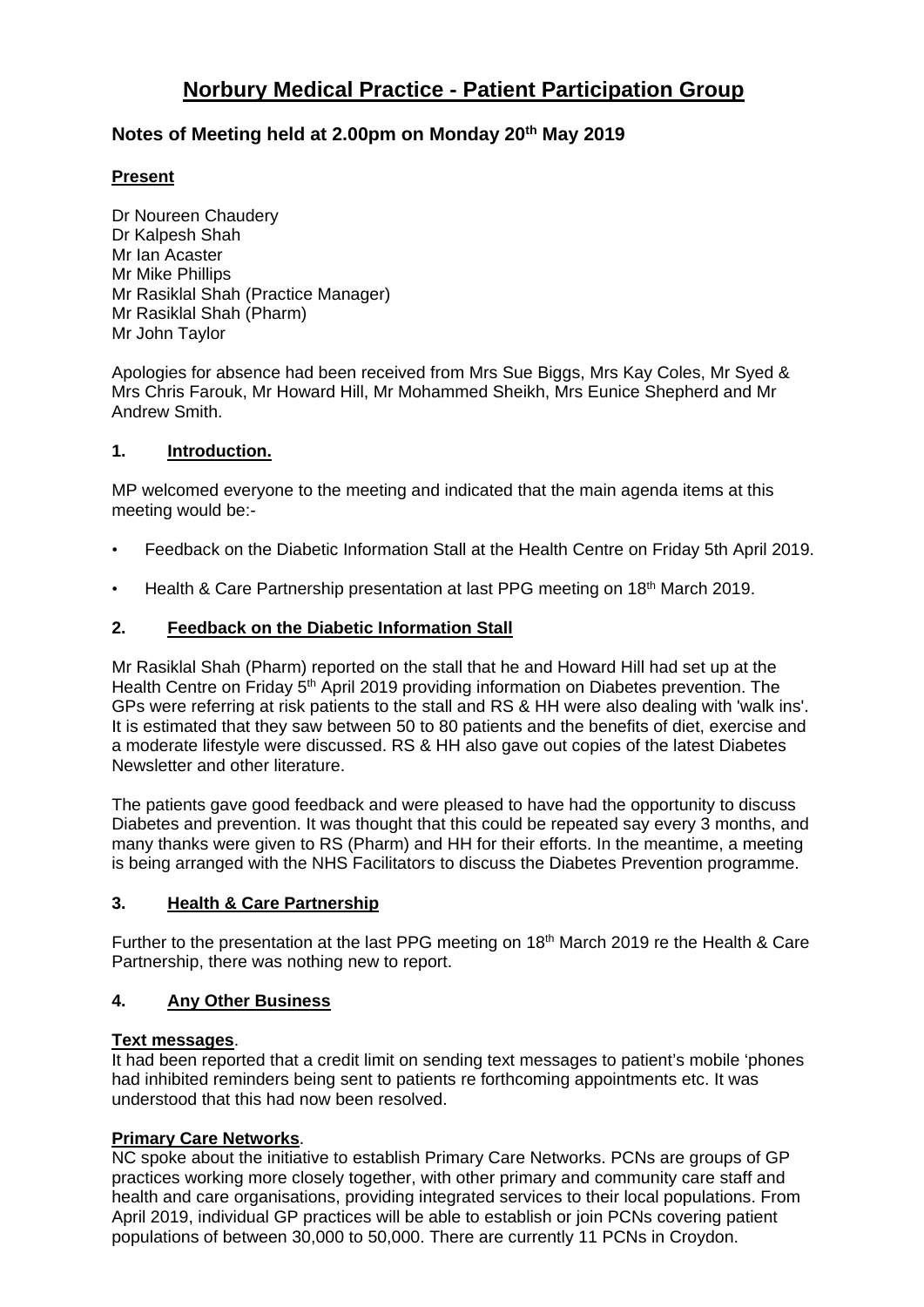# **Norbury Medical Practice - Patient Participation Group**

# **Notes of Meeting held at 2.00pm on Monday 20th May 2019**

## **Present**

Dr Noureen Chaudery Dr Kalpesh Shah Mr Ian Acaster Mr Mike Phillips Mr Rasiklal Shah (Practice Manager) Mr Rasiklal Shah (Pharm) Mr John Taylor

Apologies for absence had been received from Mrs Sue Biggs, Mrs Kay Coles, Mr Syed & Mrs Chris Farouk, Mr Howard Hill, Mr Mohammed Sheikh, Mrs Eunice Shepherd and Mr Andrew Smith.

## **1. Introduction.**

MP welcomed everyone to the meeting and indicated that the main agenda items at this meeting would be:-

- Feedback on the Diabetic Information Stall at the Health Centre on Friday 5th April 2019.
- Health & Care Partnership presentation at last PPG meeting on 18<sup>th</sup> March 2019.

# **2. Feedback on the Diabetic Information Stall**

Mr Rasiklal Shah (Pharm) reported on the stall that he and Howard Hill had set up at the Health Centre on Friday 5<sup>th</sup> April 2019 providing information on Diabetes prevention. The GPs were referring at risk patients to the stall and RS & HH were also dealing with 'walk ins'. It is estimated that they saw between 50 to 80 patients and the benefits of diet, exercise and a moderate lifestyle were discussed. RS & HH also gave out copies of the latest Diabetes Newsletter and other literature.

The patients gave good feedback and were pleased to have had the opportunity to discuss Diabetes and prevention. It was thought that this could be repeated say every 3 months, and many thanks were given to RS (Pharm) and HH for their efforts. In the meantime, a meeting is being arranged with the NHS Facilitators to discuss the Diabetes Prevention programme.

### **3. Health & Care Partnership**

Further to the presentation at the last PPG meeting on 18<sup>th</sup> March 2019 re the Health & Care Partnership, there was nothing new to report.

### **4. Any Other Business**

### **Text messages**.

It had been reported that a credit limit on sending text messages to patient's mobile 'phones had inhibited reminders being sent to patients re forthcoming appointments etc. It was understood that this had now been resolved.

### **Primary Care Networks**.

NC spoke about the initiative to establish Primary Care Networks. PCNs are groups of GP practices working more closely together, with other primary and community care staff and health and care organisations, providing integrated services to their local populations. From April 2019, individual GP practices will be able to establish or join PCNs covering patient populations of between 30,000 to 50,000. There are currently 11 PCNs in Croydon.